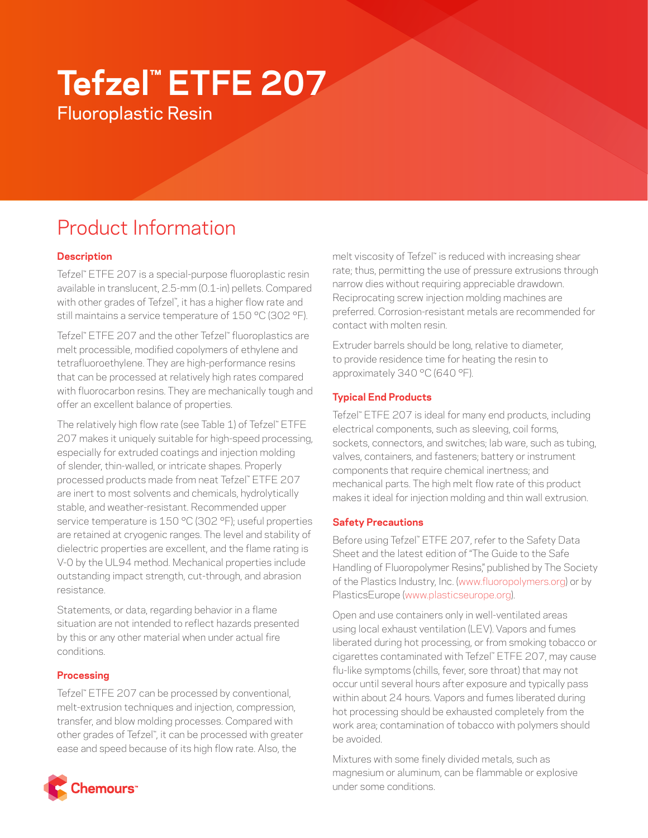# **Tefzel™ ETFE 207** Fluoroplastic Resin

# Product Information

# **Description**

Tefzel™ ETFE 207 is a special-purpose fluoroplastic resin available in translucent, 2.5-mm (0.1-in) pellets. Compared with other grades of Tefzel™ , it has a higher flow rate and still maintains a service temperature of 150 °C (302 °F).

Tefzel™ ETFE 207 and the other Tefzel™ fluoroplastics are melt processible, modified copolymers of ethylene and tetrafluoroethylene. They are high-performance resins that can be processed at relatively high rates compared with fluorocarbon resins. They are mechanically tough and offer an excellent balance of properties.

The relatively high flow rate (see Table 1) of Tefzel™ ETFE 207 makes it uniquely suitable for high-speed processing, especially for extruded coatings and injection molding of slender, thin-walled, or intricate shapes. Properly processed products made from neat Tefzel™ ETFE 207 are inert to most solvents and chemicals, hydrolytically stable, and weather-resistant. Recommended upper service temperature is 150 °C (302 °F); useful properties are retained at cryogenic ranges. The level and stability of dielectric properties are excellent, and the flame rating is V-0 by the UL94 method. Mechanical properties include outstanding impact strength, cut-through, and abrasion resistance.

Statements, or data, regarding behavior in a flame situation are not intended to reflect hazards presented by this or any other material when under actual fire conditions.

# **Processing**

Tefzel™ ETFE 207 can be processed by conventional, melt-extrusion techniques and injection, compression, transfer, and blow molding processes. Compared with other grades of Tefzel™ , it can be processed with greater ease and speed because of its high flow rate. Also, the



melt viscosity of Tefzel™ is reduced with increasing shear rate; thus, permitting the use of pressure extrusions through narrow dies without requiring appreciable drawdown. Reciprocating screw injection molding machines are preferred. Corrosion-resistant metals are recommended for contact with molten resin.

Extruder barrels should be long, relative to diameter, to provide residence time for heating the resin to approximately 340 °C (640 °F).

## **Typical End Products**

Tefzel™ ETFE 207 is ideal for many end products, including electrical components, such as sleeving, coil forms, sockets, connectors, and switches; lab ware, such as tubing, valves, containers, and fasteners; battery or instrument components that require chemical inertness; and mechanical parts. The high melt flow rate of this product makes it ideal for injection molding and thin wall extrusion.

### **Safety Precautions**

Before using Tefzel™ ETFE 207, refer to the Safety Data Sheet and the latest edition of "The Guide to the Safe Handling of Fluoropolymer Resins," published by The Society of the Plastics Industry, Inc. [\(www.fluoropolymers.org](http://www.fluoropolymers.org)) or by PlasticsEurope ([www.plasticseurope.org](http://www.plasticseurope.org)).

Open and use containers only in well-ventilated areas using local exhaust ventilation (LEV). Vapors and fumes liberated during hot processing, or from smoking tobacco or cigarettes contaminated with Tefzel™ ETFE 207, may cause flu-like symptoms (chills, fever, sore throat) that may not occur until several hours after exposure and typically pass within about 24 hours. Vapors and fumes liberated during hot processing should be exhausted completely from the work area; contamination of tobacco with polymers should be avoided.

Mixtures with some finely divided metals, such as magnesium or aluminum, can be flammable or explosive under some conditions.